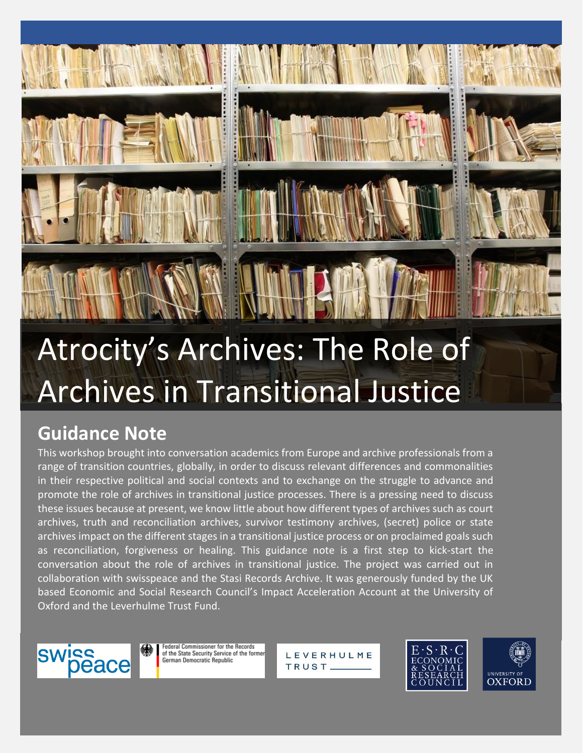# Atrocity's Archives: The Role of Archives in Transitional Justice

# **Guidance Note**

This workshop brought into conversation academics from Europe and archive professionals from a range of transition countries, globally, in order to discuss relevant differences and commonalities in their respective political and social contexts and to exchange on the struggle to advance and promote the role of archives in transitional justice processes. There is a pressing need to discuss these issues because at present, we know little about how different types of archives such as court archives, truth and reconciliation archives, survivor testimony archives, (secret) police or state archives impact on the different stages in a transitional justice process or on proclaimed goals such as reconciliation, forgiveness or healing. This guidance note is a first step to kick-start the conversation about the role of archives in transitional justice. The project was carried out in collaboration with swisspeace and the Stasi Records Archive. It was generously funded by the UK based Economic and Social Research Council's Impact Acceleration Account at the University of Oxford and the Leverhulme Trust Fund.



**Federal Commissioner for the Records** of the State Security Service of the former German Democratic Republic

LEVERHULME TRUST<sub>-</sub>

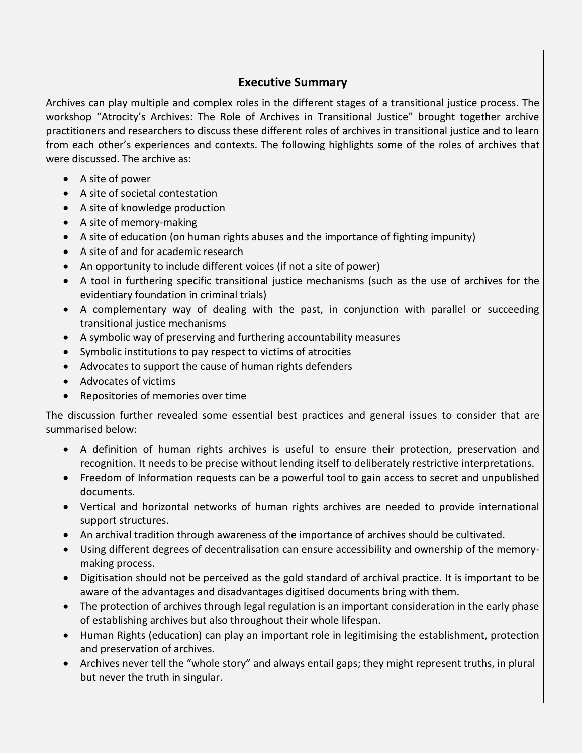### **Executive Summary**

Archives can play multiple and complex roles in the different stages of a transitional justice process. The workshop "Atrocity's Archives: The Role of Archives in Transitional Justice" brought together archive practitioners and researchers to discuss these different roles of archives in transitional justice and to learn from each other's experiences and contexts. The following highlights some of the roles of archives that were discussed. The archive as:

- A site of power
- A site of societal contestation
- A site of knowledge production
- A site of memory-making
- A site of education (on human rights abuses and the importance of fighting impunity)
- A site of and for academic research
- An opportunity to include different voices (if not a site of power)
- A tool in furthering specific transitional justice mechanisms (such as the use of archives for the evidentiary foundation in criminal trials)
- A complementary way of dealing with the past, in conjunction with parallel or succeeding transitional justice mechanisms
- A symbolic way of preserving and furthering accountability measures
- Symbolic institutions to pay respect to victims of atrocities
- Advocates to support the cause of human rights defenders
- Advocates of victims
- Repositories of memories over time

The discussion further revealed some essential best practices and general issues to consider that are summarised below:

- A definition of human rights archives is useful to ensure their protection, preservation and recognition. It needs to be precise without lending itself to deliberately restrictive interpretations.
- Freedom of Information requests can be a powerful tool to gain access to secret and unpublished documents.
- Vertical and horizontal networks of human rights archives are needed to provide international support structures.
- An archival tradition through awareness of the importance of archives should be cultivated.
- Using different degrees of decentralisation can ensure accessibility and ownership of the memorymaking process.
- Digitisation should not be perceived as the gold standard of archival practice. It is important to be aware of the advantages and disadvantages digitised documents bring with them.
- The protection of archives through legal regulation is an important consideration in the early phase of establishing archives but also throughout their whole lifespan.
- Human Rights (education) can play an important role in legitimising the establishment, protection and preservation of archives.
- Archives never tell the "whole story" and always entail gaps; they might represent truths, in plural but never the truth in singular.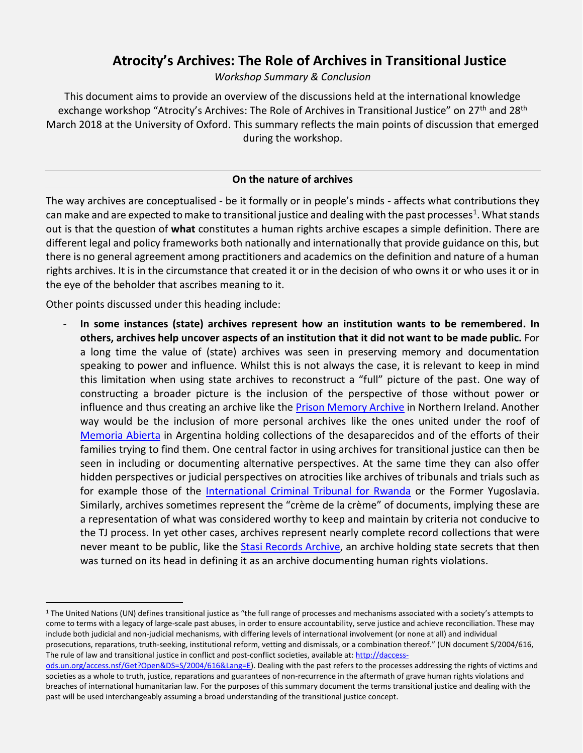## **Atrocity's Archives: The Role of Archives in Transitional Justice**

*Workshop Summary & Conclusion*

This document aims to provide an overview of the discussions held at the international knowledge exchange workshop "Atrocity's Archives: The Role of Archives in Transitional Justice" on 27<sup>th</sup> and 28<sup>th</sup> March 2018 at the University of Oxford. This summary reflects the main points of discussion that emerged during the workshop.

#### **On the nature of archives**

The way archives are conceptualised - be it formally or in people's minds - affects what contributions they can make and are expected to make to transitional justice and dealing with the past processes<sup>1</sup>. What stands out is that the question of **what** constitutes a human rights archive escapes a simple definition. There are different legal and policy frameworks both nationally and internationally that provide guidance on this, but there is no general agreement among practitioners and academics on the definition and nature of a human rights archives. It is in the circumstance that created it or in the decision of who owns it or who uses it or in the eye of the beholder that ascribes meaning to it.

Other points discussed under this heading include:

 $\overline{a}$ 

- **In some instances (state) archives represent how an institution wants to be remembered. In others, archives help uncover aspects of an institution that it did not want to be made public.** For a long time the value of (state) archives was seen in preserving memory and documentation speaking to power and influence. Whilst this is not always the case, it is relevant to keep in mind this limitation when using state archives to reconstruct a "full" picture of the past. One way of constructing a broader picture is the inclusion of the perspective of those without power or influence and thus creating an archive like the **Prison Memory Archive** in Northern Ireland. Another way would be the inclusion of more personal archives like the ones united under the roof of [Memoria Abierta](http://memoriaabierta.org.ar/wp/) in Argentina holding collections of the desaparecidos and of the efforts of their families trying to find them. One central factor in using archives for transitional justice can then be seen in including or documenting alternative perspectives. At the same time they can also offer hidden perspectives or judicial perspectives on atrocities like archives of tribunals and trials such as for example those of the [International Criminal Tribunal for Rwanda](http://www.unmict.org/en/about/functions/archives) or the Former Yugoslavia. Similarly, archives sometimes represent the "crème de la crème" of documents, implying these are a representation of what was considered worthy to keep and maintain by criteria not conducive to the TJ process. In yet other cases, archives represent nearly complete record collections that were never meant to be public, like the **Stasi Records Archive**, an archive holding state secrets that then was turned on its head in defining it as an archive documenting human rights violations.

<sup>1</sup> The United Nations (UN) defines transitional justice as "the full range of processes and mechanisms associated with a society's attempts to come to terms with a legacy of large-scale past abuses, in order to ensure accountability, serve justice and achieve reconciliation. These may include both judicial and non-judicial mechanisms, with differing levels of international involvement (or none at all) and individual prosecutions, reparations, truth-seeking, institutional reform, vetting and dismissals, or a combination thereof." (UN document S/2004/616, The rule of law and transitional justice in conflict and post-conflict societies, available at[: http://daccess-](http://daccess-ods.un.org/access.nsf/Get?Open&DS=S/2004/616&Lang=E)

[ods.un.org/access.nsf/Get?Open&DS=S/2004/616&Lang=E\)](http://daccess-ods.un.org/access.nsf/Get?Open&DS=S/2004/616&Lang=E). Dealing with the past refers to the processes addressing the rights of victims and societies as a whole to truth, justice, reparations and guarantees of non-recurrence in the aftermath of grave human rights violations and breaches of international humanitarian law. For the purposes of this summary document the terms transitional justice and dealing with the past will be used interchangeably assuming a broad understanding of the transitional justice concept.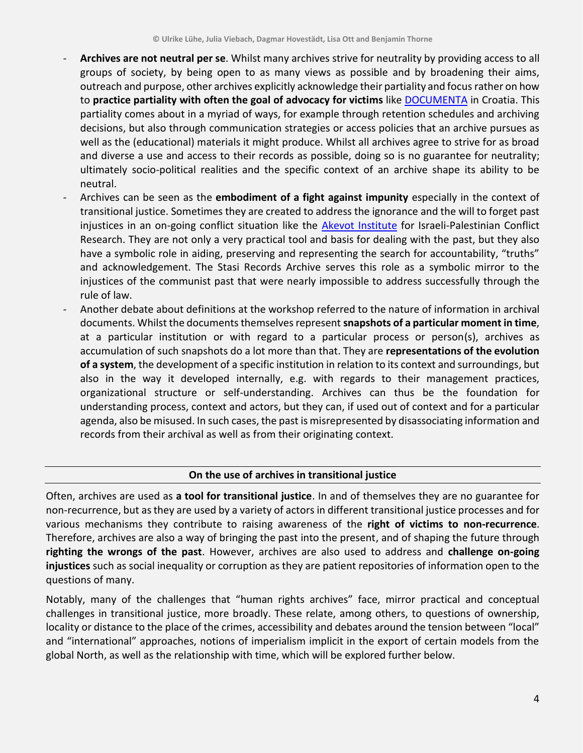- **Archives are not neutral per se**. Whilst many archives strive for neutrality by providing access to all groups of society, by being open to as many views as possible and by broadening their aims, outreach and purpose, other archives explicitly acknowledge their partiality and focus rather on how to **practice partiality with often the goal of advocacy for victims** like [DOCUMENTA](https://www.documenta.hr/en/home.html) in Croatia. This partiality comes about in a myriad of ways, for example through retention schedules and archiving decisions, but also through communication strategies or access policies that an archive pursues as well as the (educational) materials it might produce. Whilst all archives agree to strive for as broad and diverse a use and access to their records as possible, doing so is no guarantee for neutrality; ultimately socio-political realities and the specific context of an archive shape its ability to be neutral.
- Archives can be seen as the **embodiment of a fight against impunity** especially in the context of transitional justice. Sometimes they are created to address the ignorance and the will to forget past injustices in an on-going conflict situation like the [Akevot Institute](https://akevot.org.il/en/) for Israeli-Palestinian Conflict Research. They are not only a very practical tool and basis for dealing with the past, but they also have a symbolic role in aiding, preserving and representing the search for accountability, "truths" and acknowledgement. The Stasi Records Archive serves this role as a symbolic mirror to the injustices of the communist past that were nearly impossible to address successfully through the rule of law.
- Another debate about definitions at the workshop referred to the nature of information in archival documents. Whilst the documents themselves represent **snapshots of a particular moment in time**, at a particular institution or with regard to a particular process or person(s), archives as accumulation of such snapshots do a lot more than that. They are **representations of the evolution of a system**, the development of a specific institution in relation to its context and surroundings, but also in the way it developed internally, e.g. with regards to their management practices, organizational structure or self-understanding. Archives can thus be the foundation for understanding process, context and actors, but they can, if used out of context and for a particular agenda, also be misused. In such cases, the past is misrepresented by disassociating information and records from their archival as well as from their originating context.

#### **On the use of archives in transitional justice**

Often, archives are used as **a tool for transitional justice**. In and of themselves they are no guarantee for non-recurrence, but as they are used by a variety of actors in different transitional justice processes and for various mechanisms they contribute to raising awareness of the **right of victims to non-recurrence**. Therefore, archives are also a way of bringing the past into the present, and of shaping the future through **righting the wrongs of the past**. However, archives are also used to address and **challenge on-going injustices** such as social inequality or corruption as they are patient repositories of information open to the questions of many.

Notably, many of the challenges that "human rights archives" face, mirror practical and conceptual challenges in transitional justice, more broadly. These relate, among others, to questions of ownership, locality or distance to the place of the crimes, accessibility and debates around the tension between "local" and "international" approaches, notions of imperialism implicit in the export of certain models from the global North, as well as the relationship with time, which will be explored further below.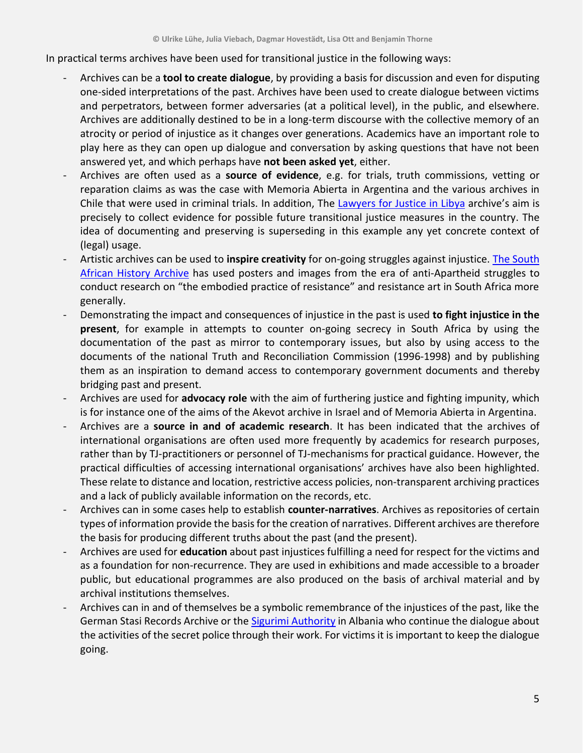In practical terms archives have been used for transitional justice in the following ways:

- Archives can be a **tool to create dialogue**, by providing a basis for discussion and even for disputing one-sided interpretations of the past. Archives have been used to create dialogue between victims and perpetrators, between former adversaries (at a political level), in the public, and elsewhere. Archives are additionally destined to be in a long-term discourse with the collective memory of an atrocity or period of injustice as it changes over generations. Academics have an important role to play here as they can open up dialogue and conversation by asking questions that have not been answered yet, and which perhaps have **not been asked yet**, either.
- Archives are often used as a **source of evidence**, e.g. for trials, truth commissions, vetting or reparation claims as was the case with Memoria Abierta in Argentina and the various archives in Chile that were used in criminal trials. In addition, The [Lawyers for Justice in Libya](http://www.libyanjustice.org/our-programmes/transitional-justice-impunity-and-human-rights) archive's aim is precisely to collect evidence for possible future transitional justice measures in the country. The idea of documenting and preserving is superseding in this example any yet concrete context of (legal) usage.
- Artistic archives can be used to **inspire creativity** for on-going struggles against injustice. The [South](http://www.saha.org.za/)  [African History Archive](http://www.saha.org.za/) has used posters and images from the era of anti-Apartheid struggles to conduct research on "the embodied practice of resistance" and resistance art in South Africa more generally.
- Demonstrating the impact and consequences of injustice in the past is used **to fight injustice in the present**, for example in attempts to counter on-going secrecy in South Africa by using the documentation of the past as mirror to contemporary issues, but also by using access to the documents of the national Truth and Reconciliation Commission (1996-1998) and by publishing them as an inspiration to demand access to contemporary government documents and thereby bridging past and present.
- Archives are used for **advocacy role** with the aim of furthering justice and fighting impunity, which is for instance one of the aims of the Akevot archive in Israel and of Memoria Abierta in Argentina.
- Archives are a **source in and of academic research**. It has been indicated that the archives of international organisations are often used more frequently by academics for research purposes, rather than by TJ-practitioners or personnel of TJ-mechanisms for practical guidance. However, the practical difficulties of accessing international organisations' archives have also been highlighted. These relate to distance and location, restrictive access policies, non-transparent archiving practices and a lack of publicly available information on the records, etc.
- Archives can in some cases help to establish **counter-narratives**. Archives as repositories of certain types of information provide the basis for the creation of narratives. Different archives are therefore the basis for producing different truths about the past (and the present).
- Archives are used for **education** about past injustices fulfilling a need for respect for the victims and as a foundation for non-recurrence. They are used in exhibitions and made accessible to a broader public, but educational programmes are also produced on the basis of archival material and by archival institutions themselves.
- Archives can in and of themselves be a symbolic remembrance of the injustices of the past, like the German Stasi Records Archive or the [Sigurimi Authority](http://autoritetidosjeve.gov.al/) in Albania who continue the dialogue about the activities of the secret police through their work. For victims it is important to keep the dialogue going.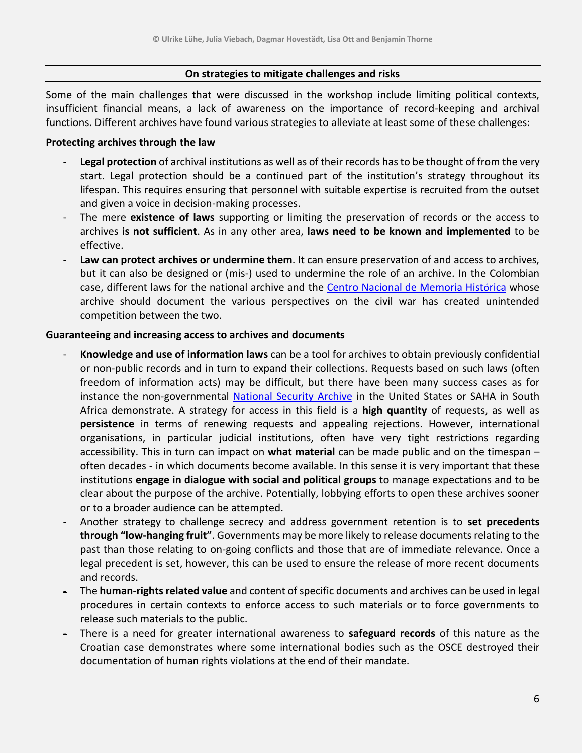#### **On strategies to mitigate challenges and risks**

Some of the main challenges that were discussed in the workshop include limiting political contexts, insufficient financial means, a lack of awareness on the importance of record-keeping and archival functions. Different archives have found various strategies to alleviate at least some of these challenges:

#### **Protecting archives through the law**

- **Legal protection** of archival institutions as well as of their records has to be thought of from the very start. Legal protection should be a continued part of the institution's strategy throughout its lifespan. This requires ensuring that personnel with suitable expertise is recruited from the outset and given a voice in decision-making processes.
- The mere **existence of laws** supporting or limiting the preservation of records or the access to archives **is not sufficient**. As in any other area, **laws need to be known and implemented** to be effective.
- **Law can protect archives or undermine them**. It can ensure preservation of and access to archives, but it can also be designed or (mis-) used to undermine the role of an archive. In the Colombian case, different laws for the national archive and the [Centro Nacional de Memoria Hist](http://www.centrodememoriahistorica.gov.co/en/about-the-national-center-about-the-national-center)órica whose archive should document the various perspectives on the civil war has created unintended competition between the two.

#### **Guaranteeing and increasing access to archives and documents**

- **Knowledge and use of information laws** can be a tool for archives to obtain previously confidential or non-public records and in turn to expand their collections. Requests based on such laws (often freedom of information acts) may be difficult, but there have been many success cases as for instance the non-governmental [National Security Archive](https://nsarchive.gwu.edu/) in the United States or SAHA in South Africa demonstrate. A strategy for access in this field is a **high quantity** of requests, as well as **persistence** in terms of renewing requests and appealing rejections. However, international organisations, in particular judicial institutions, often have very tight restrictions regarding accessibility. This in turn can impact on **what material** can be made public and on the timespan – often decades - in which documents become available. In this sense it is very important that these institutions **engage in dialogue with social and political groups** to manage expectations and to be clear about the purpose of the archive. Potentially, lobbying efforts to open these archives sooner or to a broader audience can be attempted.
- Another strategy to challenge secrecy and address government retention is to **set precedents through "low-hanging fruit"**. Governments may be more likely to release documents relating to the past than those relating to on-going conflicts and those that are of immediate relevance. Once a legal precedent is set, however, this can be used to ensure the release of more recent documents and records.
- The **human-rights related value** and content of specific documents and archives can be used in legal procedures in certain contexts to enforce access to such materials or to force governments to release such materials to the public.
- There is a need for greater international awareness to **safeguard records** of this nature as the Croatian case demonstrates where some international bodies such as the OSCE destroyed their documentation of human rights violations at the end of their mandate.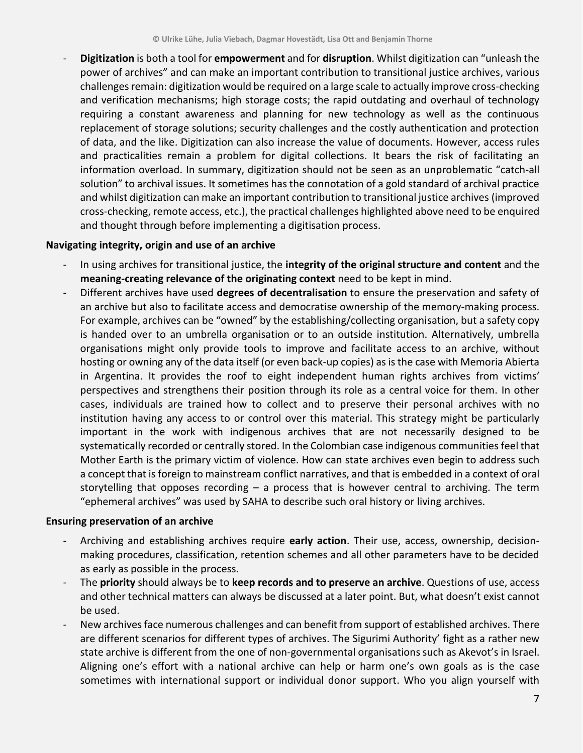- **Digitization** is both a tool for **empowerment** and for **disruption**. Whilst digitization can "unleash the power of archives" and can make an important contribution to transitional justice archives, various challenges remain: digitization would be required on a large scale to actually improve cross-checking and verification mechanisms; high storage costs; the rapid outdating and overhaul of technology requiring a constant awareness and planning for new technology as well as the continuous replacement of storage solutions; security challenges and the costly authentication and protection of data, and the like. Digitization can also increase the value of documents. However, access rules and practicalities remain a problem for digital collections. It bears the risk of facilitating an information overload. In summary, digitization should not be seen as an unproblematic "catch-all solution" to archival issues. It sometimes has the connotation of a gold standard of archival practice and whilst digitization can make an important contribution to transitional justice archives (improved cross-checking, remote access, etc.), the practical challenges highlighted above need to be enquired and thought through before implementing a digitisation process.

#### **Navigating integrity, origin and use of an archive**

- In using archives for transitional justice, the **integrity of the original structure and content** and the **meaning-creating relevance of the originating context** need to be kept in mind.
- Different archives have used **degrees of decentralisation** to ensure the preservation and safety of an archive but also to facilitate access and democratise ownership of the memory-making process. For example, archives can be "owned" by the establishing/collecting organisation, but a safety copy is handed over to an umbrella organisation or to an outside institution. Alternatively, umbrella organisations might only provide tools to improve and facilitate access to an archive, without hosting or owning any of the data itself (or even back-up copies) as is the case with Memoria Abierta in Argentina. It provides the roof to eight independent human rights archives from victims' perspectives and strengthens their position through its role as a central voice for them. In other cases, individuals are trained how to collect and to preserve their personal archives with no institution having any access to or control over this material. This strategy might be particularly important in the work with indigenous archives that are not necessarily designed to be systematically recorded or centrally stored. In the Colombian case indigenous communities feel that Mother Earth is the primary victim of violence. How can state archives even begin to address such a concept that is foreign to mainstream conflict narratives, and that is embedded in a context of oral storytelling that opposes recording – a process that is however central to archiving. The term "ephemeral archives" was used by SAHA to describe such oral history or living archives.

#### **Ensuring preservation of an archive**

- Archiving and establishing archives require **early action**. Their use, access, ownership, decisionmaking procedures, classification, retention schemes and all other parameters have to be decided as early as possible in the process.
- The **priority** should always be to **keep records and to preserve an archive**. Questions of use, access and other technical matters can always be discussed at a later point. But, what doesn't exist cannot be used.
- New archives face numerous challenges and can benefit from support of established archives. There are different scenarios for different types of archives. The Sigurimi Authority' fight as a rather new state archive is different from the one of non-governmental organisations such as Akevot's in Israel. Aligning one's effort with a national archive can help or harm one's own goals as is the case sometimes with international support or individual donor support. Who you align yourself with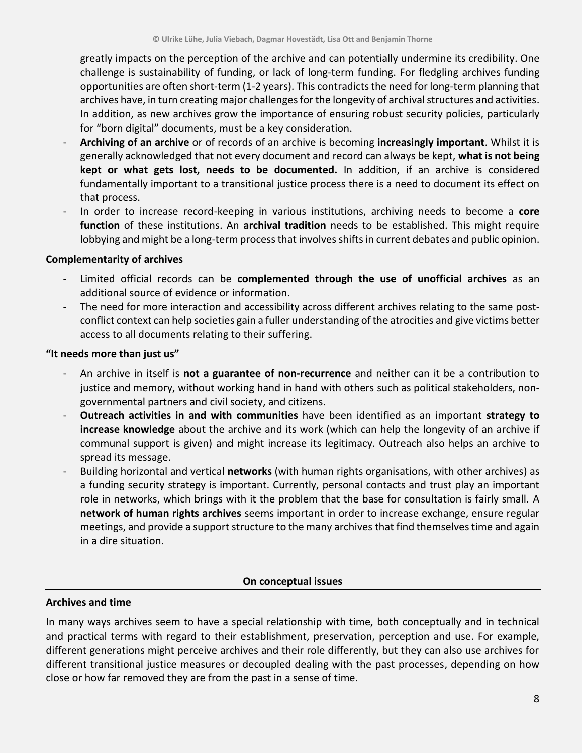greatly impacts on the perception of the archive and can potentially undermine its credibility. One challenge is sustainability of funding, or lack of long-term funding. For fledgling archives funding opportunities are often short-term (1-2 years). This contradicts the need for long-term planning that archives have, in turn creating major challenges for the longevity of archival structures and activities. In addition, as new archives grow the importance of ensuring robust security policies, particularly for "born digital" documents, must be a key consideration.

- **Archiving of an archive** or of records of an archive is becoming **increasingly important**. Whilst it is generally acknowledged that not every document and record can always be kept, **what is not being kept or what gets lost, needs to be documented.** In addition, if an archive is considered fundamentally important to a transitional justice process there is a need to document its effect on that process.
- In order to increase record-keeping in various institutions, archiving needs to become a **core function** of these institutions. An **archival tradition** needs to be established. This might require lobbying and might be a long-term process that involves shifts in current debates and public opinion.

#### **Complementarity of archives**

- Limited official records can be **complemented through the use of unofficial archives** as an additional source of evidence or information.
- The need for more interaction and accessibility across different archives relating to the same postconflict context can help societies gain a fuller understanding of the atrocities and give victims better access to all documents relating to their suffering.

#### **"It needs more than just us"**

- An archive in itself is **not a guarantee of non-recurrence** and neither can it be a contribution to justice and memory, without working hand in hand with others such as political stakeholders, nongovernmental partners and civil society, and citizens.
- **Outreach activities in and with communities** have been identified as an important **strategy to increase knowledge** about the archive and its work (which can help the longevity of an archive if communal support is given) and might increase its legitimacy. Outreach also helps an archive to spread its message.
- Building horizontal and vertical **networks** (with human rights organisations, with other archives) as a funding security strategy is important. Currently, personal contacts and trust play an important role in networks, which brings with it the problem that the base for consultation is fairly small. A **network of human rights archives** seems important in order to increase exchange, ensure regular meetings, and provide a support structure to the many archives that find themselves time and again in a dire situation.

#### **On conceptual issues**

#### **Archives and time**

In many ways archives seem to have a special relationship with time, both conceptually and in technical and practical terms with regard to their establishment, preservation, perception and use. For example, different generations might perceive archives and their role differently, but they can also use archives for different transitional justice measures or decoupled dealing with the past processes, depending on how close or how far removed they are from the past in a sense of time.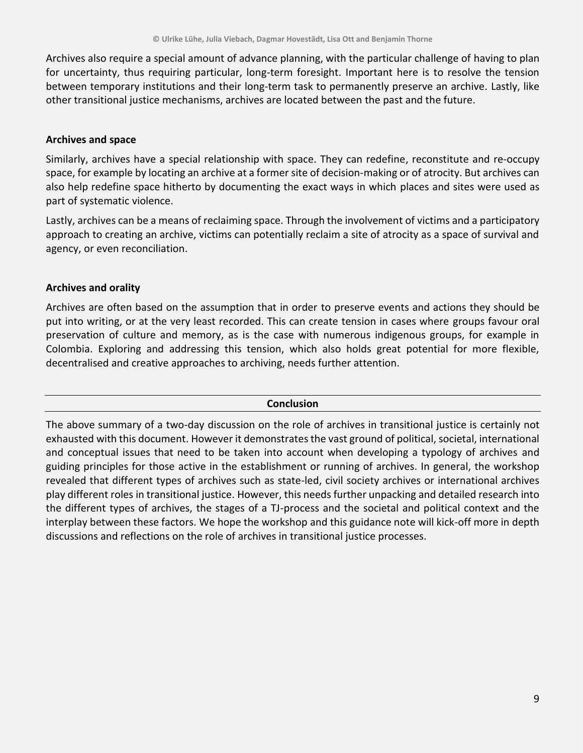Archives also require a special amount of advance planning, with the particular challenge of having to plan for uncertainty, thus requiring particular, long-term foresight. Important here is to resolve the tension between temporary institutions and their long-term task to permanently preserve an archive. Lastly, like other transitional justice mechanisms, archives are located between the past and the future.

#### **Archives and space**

Similarly, archives have a special relationship with space. They can redefine, reconstitute and re-occupy space, for example by locating an archive at a former site of decision-making or of atrocity. But archives can also help redefine space hitherto by documenting the exact ways in which places and sites were used as part of systematic violence.

Lastly, archives can be a means of reclaiming space. Through the involvement of victims and a participatory approach to creating an archive, victims can potentially reclaim a site of atrocity as a space of survival and agency, or even reconciliation.

#### **Archives and orality**

Archives are often based on the assumption that in order to preserve events and actions they should be put into writing, or at the very least recorded. This can create tension in cases where groups favour oral preservation of culture and memory, as is the case with numerous indigenous groups, for example in Colombia. Exploring and addressing this tension, which also holds great potential for more flexible, decentralised and creative approaches to archiving, needs further attention.

#### **Conclusion**

The above summary of a two-day discussion on the role of archives in transitional justice is certainly not exhausted with this document. However it demonstrates the vast ground of political, societal, international and conceptual issues that need to be taken into account when developing a typology of archives and guiding principles for those active in the establishment or running of archives. In general, the workshop revealed that different types of archives such as state-led, civil society archives or international archives play different roles in transitional justice. However, this needs further unpacking and detailed research into the different types of archives, the stages of a TJ-process and the societal and political context and the interplay between these factors. We hope the workshop and this guidance note will kick-off more in depth discussions and reflections on the role of archives in transitional justice processes.